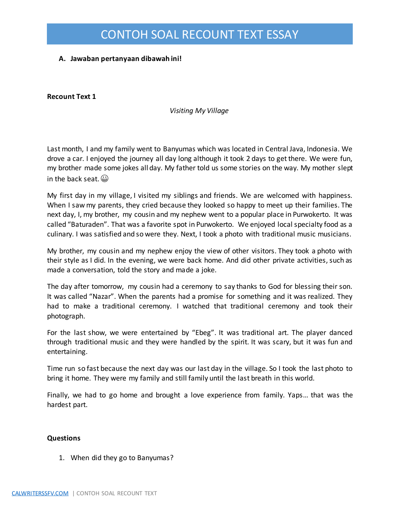### **A. Jawaban pertanyaan dibawah ini!**

**Recount Text 1**

#### *Visiting My Village*

Last month, I and my family went to Banyumas which was located in Central Java, Indonesia. We drove a car. I enjoyed the journey all day long although it took 2 days to get there. We were fun, my brother made some jokes all day. My father told us some stories on the way. My mother slept in the back seat.

My first day in my village, I visited my siblings and friends. We are welcomed with happiness. When I saw my parents, they cried because they looked so happy to meet up their families. The next day, I, my brother, my cousin and my nephew went to a popular place in Purwokerto. It was called "Baturaden". That was a favorite spot in Purwokerto. We enjoyed local specialty food as a culinary. I was satisfied and so were they. Next, I took a photo with traditional music musicians.

My brother, my cousin and my nephew enjoy the view of other visitors. They took a photo with their style as I did. In the evening, we were back home. And did other private activities, such as made a conversation, told the story and made a joke.

The day after tomorrow, my cousin had a ceremony to say thanks to God for blessing their son. It was called "Nazar". When the parents had a promise for something and it was realized. They had to make a traditional ceremony. I watched that traditional ceremony and took their photograph.

For the last show, we were entertained by "Ebeg". It was traditional art. The player danced through traditional music and they were handled by the spirit. It was scary, but it was fun and entertaining.

Time run so fast because the next day was our last day in the village. So I took the last photo to bring it home. They were my family and still family until the last breath in this world.

Finally, we had to go home and brought a love experience from family. Yaps… that was the hardest part.

#### **Questions**

1. When did they go to Banyumas?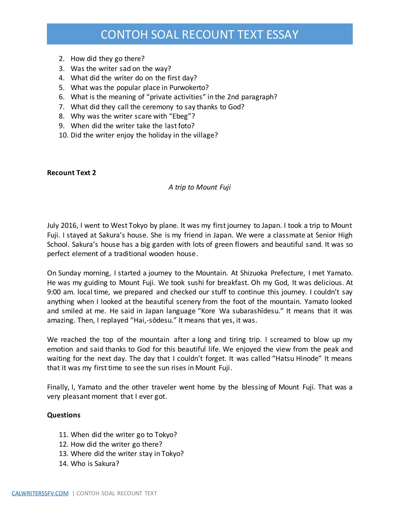- 2. How did they go there?
- 3. Was the writer sad on the way?
- 4. What did the writer do on the first day?
- 5. What was the popular place in Purwokerto?
- 6. What is the meaning of "private activities" in the 2nd paragraph?
- 7. What did they call the ceremony to say thanks to God?
- 8. Why was the writer scare with "Ebeg"?
- 9. When did the writer take the last foto?
- 10. Did the writer enjoy the holiday in the village?

#### **Recount Text 2**

#### *A trip to Mount Fuji*

July 2016, I went to West Tokyo by plane. It was my first journey to Japan. I took a trip to Mount Fuji. I stayed at Sakura's house. She is my friend in Japan. We were a classmate at Senior High School. Sakura's house has a big garden with lots of green flowers and beautiful sand. It was so perfect element of a traditional wooden house.

On Sunday morning, I started a journey to the Mountain. At Shizuoka Prefecture, I met Yamato. He was my guiding to Mount Fuji. We took sushi for breakfast. Oh my God, It was delicious. At 9:00 am. local time, we prepared and checked our stuff to continue this journey. I couldn't say anything when I looked at the beautiful scenery from the foot of the mountain. Yamato looked and smiled at me. He said in Japan language "Kore Wa subarashīdesu." It means that it was amazing. Then, I replayed "Hai,-sōdesu." It means that yes, it was.

We reached the top of the mountain after a long and tiring trip. I screamed to blow up my emotion and said thanks to God for this beautiful life. We enjoyed the view from the peak and waiting for the next day. The day that I couldn't forget. It was called "Hatsu Hinode" It means that it was my first time to see the sun rises in Mount Fuji.

Finally, I, Yamato and the other traveler went home by the blessing of Mount Fuji. That was a very pleasant moment that I ever got.

### **Questions**

- 11. When did the writer go to Tokyo?
- 12. How did the writer go there?
- 13. Where did the writer stay in Tokyo?
- 14. Who is Sakura?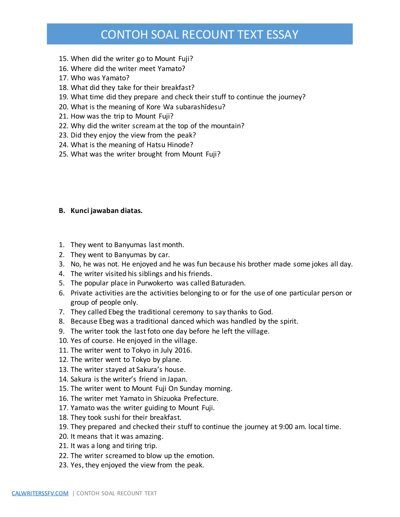- 15. When did the writer go to Mount Fuji?
- 16. Where did the writer meet Yamato?
- 17. Who was Yamato?
- 18. What did they take for their breakfast?
- 19. What time did they prepare and check their stuff to continue the journey?
- 20. What is the meaning of Kore Wa subarashīdesu?
- 21. How was the trip to Mount Fuji?
- 22. Why did the writer scream at the top of the mountain?
- 23. Did they enjoy the view from the peak?
- 24. What is the meaning of Hatsu Hinode?
- 25. What was the writer brought from Mount Fuji?

#### **B. Kunci jawaban diatas.**

- 1. They went to Banyumas last month.
- 2. They went to Banyumas by car.
- 3. No, he was not. He enjoyed and he was fun because his brother made some jokes all day.
- 4. The writer visited his siblings and his friends.
- 5. The popular place in Purwokerto was called Baturaden.
- 6. Private activities are the activities belonging to or for the use of one particular person or group of people only.
- 7. They called Ebeg the traditional ceremony to say thanks to God.
- 8. Because Ebeg was a traditional danced which was handled by the spirit.
- 9. The writer took the last foto one day before he left the village.
- 10. Yes of course. He enjoyed in the village.
- 11. The writer went to Tokyo in July 2016.
- 12. The writer went to Tokyo by plane.
- 13. The writer stayed at Sakura's house.
- 14. Sakura is the writer's friend in Japan.
- 15. The writer went to Mount Fuji On Sunday morning.
- 16. The writer met Yamato in Shizuoka Prefecture.
- 17. Yamato was the writer guiding to Mount Fuji.
- 18. They took sushi for their breakfast.
- 19. They prepared and checked their stuff to continue the journey at 9:00 am. local time.
- 20. It means that it was amazing.
- 21. It was a long and tiring trip.
- 22. The writer screamed to blow up the emotion.
- 23. Yes, they enjoyed the view from the peak.